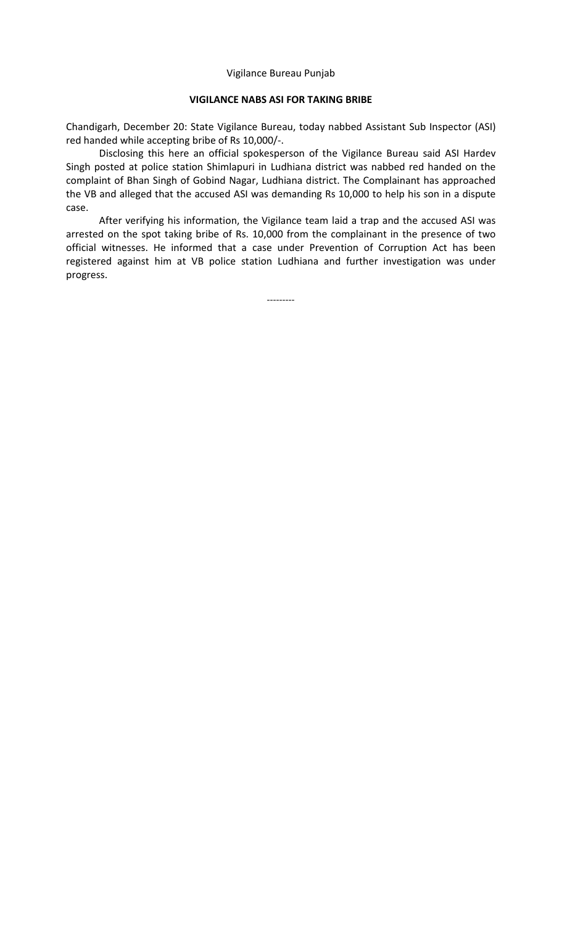## Vigilance Bureau Punjab

## **VIGILANCE NABS ASI FOR TAKING BRIBE**

Chandigarh, December 20: State Vigilance Bureau, today nabbed Assistant Sub Inspector (ASI) red handed while accepting bribe of Rs 10,000/-.

Disclosing this here an official spokesperson of the Vigilance Bureau said ASI Hardev Singh posted at police station Shimlapuri in Ludhiana district was nabbed red handed on the complaint of Bhan Singh of Gobind Nagar, Ludhiana district. The Complainant has approached the VB and alleged that the accused ASI was demanding Rs 10,000 to help his son in a dispute case.

After verifying his information, the Vigilance team laid a trap and the accused ASI was arrested on the spot taking bribe of Rs. 10,000 from the complainant in the presence of two official witnesses. He informed that a case under Prevention of Corruption Act has been registered against him at VB police station Ludhiana and further investigation was under progress.

---------